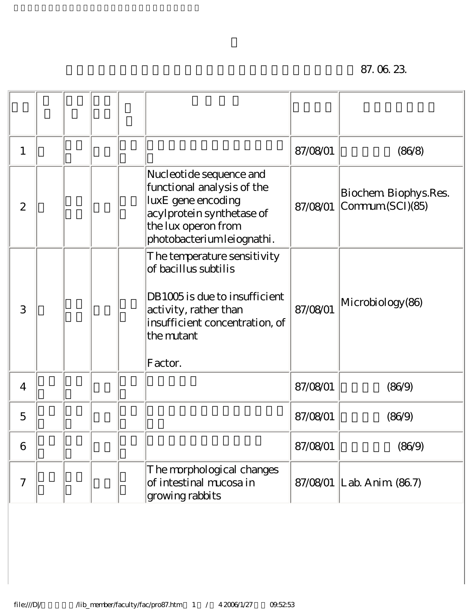| 1                        |  |                                                                                                                                                                          | 87/08/01 | (86/8)                                    |
|--------------------------|--|--------------------------------------------------------------------------------------------------------------------------------------------------------------------------|----------|-------------------------------------------|
| $\mathbf{2}$             |  | Nucleotide sequence and<br>functional analysis of the<br>luxE gene encoding<br>acylprotein synthetase of<br>the lux operon from<br>photobacterium leiognathi.            | 87/08/01 | Biochem Biophys.Res.<br>Commum (SCI) (85) |
| 3                        |  | The temperature sensitivity<br>of bacillus subtilis<br>DB1005 is due to insufficient<br>activity, rather than<br>insufficient concentration, of<br>the mutant<br>Factor. | 87/08/01 | Microbiology (86)                         |
| $\overline{4}$           |  |                                                                                                                                                                          | 87/08/01 | (86/9)                                    |
| 5                        |  |                                                                                                                                                                          | 87/08/01 | (86/9)                                    |
| 6                        |  |                                                                                                                                                                          | 87/08/01 | (86/9)                                    |
| $\overline{\mathcal{U}}$ |  | The morphological changes<br>of intestinal mucosa in<br>growing rabbits                                                                                                  |          | 87/08/01 Lab. Anim (86.7)                 |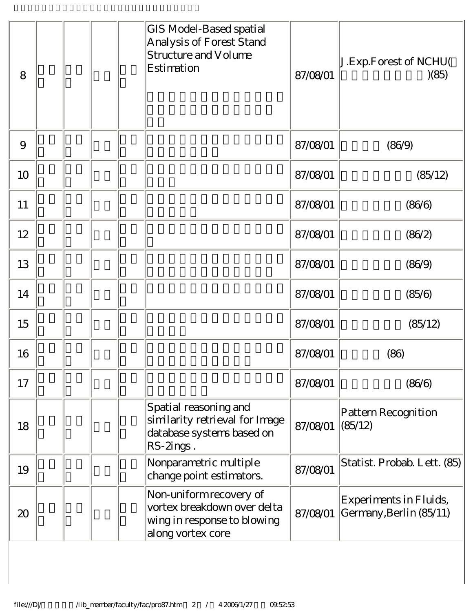| 8  |  | GIS Model-Based spatial<br>Analysis of Forest Stand<br>Structure and Volume<br>Estimation                  | 87/08/01 | J.Exp.Forest of NCHU(<br>)(85)                    |
|----|--|------------------------------------------------------------------------------------------------------------|----------|---------------------------------------------------|
| 9  |  |                                                                                                            | 87/08/01 | (86/9)                                            |
| 10 |  |                                                                                                            | 87/08/01 | (85/12)                                           |
| 11 |  |                                                                                                            | 87/08/01 | (86/6)                                            |
| 12 |  |                                                                                                            | 87/08/01 | (86/2)                                            |
| 13 |  |                                                                                                            | 87/08/01 | (86/9)                                            |
| 14 |  |                                                                                                            | 87/08/01 | (85/6)                                            |
| 15 |  |                                                                                                            | 87/08/01 | (85/12)                                           |
| 16 |  |                                                                                                            | 87/08/01 | (86)                                              |
| 17 |  |                                                                                                            | 87/08/01 | (86/6)                                            |
| 18 |  | Spatial reasoning and<br>similarity retrieval for Image<br>database systems based on<br>RS-2ings.          | 87/08/01 | Pattern Recognition<br>(85/12)                    |
| 19 |  | Nonparametric multiple<br>change point estimators.                                                         | 87/08/01 | Statist. Probab. Lett. (85)                       |
| 20 |  | Non-uniform recovery of<br>vortex breakdown over delta<br>wing in response to blowing<br>along vortex core | 87/08/01 | Experiments in Fluids,<br>Germany, Berlin (85/11) |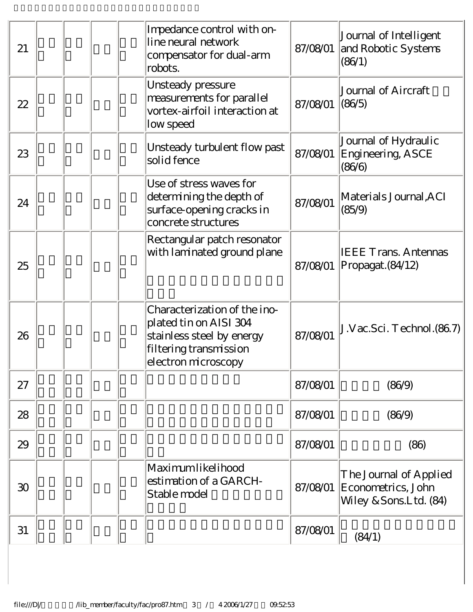| 21 |  | Impedance control with on-<br>line neural network<br>compensator for dual-arm<br>robots.                                             | 87/08/01 | Journal of Intelligent<br>and Robotic Systems<br>(86/1)                 |
|----|--|--------------------------------------------------------------------------------------------------------------------------------------|----------|-------------------------------------------------------------------------|
| 22 |  | Unsteady pressure<br>measurements for parallel<br>vortex-airfoil interaction at<br>low speed                                         | 87/08/01 | Journal of Aircraft<br>(86/5)                                           |
| 23 |  | Unsteady turbulent flow past<br>solid fence                                                                                          | 87/08/01 | Journal of Hydraulic<br>Engineering, ASCE<br>(86/6)                     |
| 24 |  | Use of stress waves for<br>determining the depth of<br>surface-opening cracks in<br>concrete structures                              | 87/08/01 | Materials Journal,ACI<br>(85/9)                                         |
| 25 |  | Rectangular patch resonator<br>with laminated ground plane                                                                           |          | <b>IEEE Trans. Antennas</b><br>87/08/01 Propagat. (84/12)               |
| 26 |  | Characterization of the ino-<br>plated tin on AISI 304<br>stainless steel by energy<br>filtering transmission<br>electron microscopy | 87/08/01 | J.Vac.Sci. Technol. (86.7)                                              |
| 27 |  |                                                                                                                                      | 87/08/01 | (86/9)                                                                  |
| 28 |  |                                                                                                                                      | 87/08/01 | (86/9)                                                                  |
| 29 |  |                                                                                                                                      | 87/08/01 | (86)                                                                    |
| 30 |  | Maximumlikelihood<br>estimation of a GARCH-<br>Stable model                                                                          | 87/08/01 | The Journal of Applied<br>Econometrics, John<br>Wiley & Sons. Ltd. (84) |
| 31 |  |                                                                                                                                      | 87/08/01 | (84/1)                                                                  |